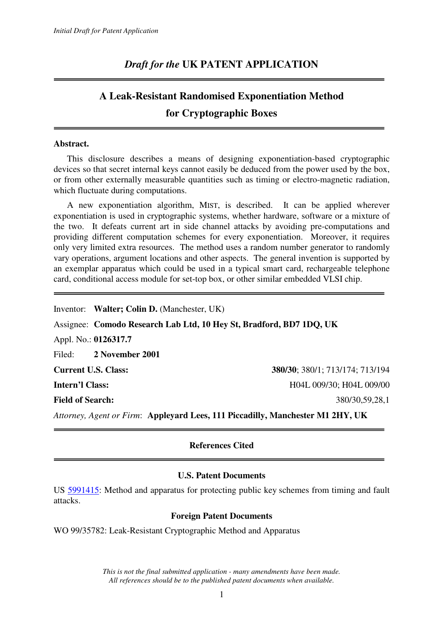# *Draft for the* **UK PATENT APPLICATION**

# **A Leak-Resistant Randomised Exponentiation Method for Cryptographic Boxes**

### **Abstract.**

 This disclosure describes a means of designing exponentiation-based cryptographic devices so that secret internal keys cannot easily be deduced from the power used by the box, or from other externally measurable quantities such as timing or electro-magnetic radiation, which fluctuate during computations.

 A new exponentiation algorithm, MIST, is described. It can be applied wherever exponentiation is used in cryptographic systems, whether hardware, software or a mixture of the two. It defeats current art in side channel attacks by avoiding pre-computations and providing different computation schemes for every exponentiation. Moreover, it requires only very limited extra resources. The method uses a random number generator to randomly vary operations, argument locations and other aspects. The general invention is supported by an exemplar apparatus which could be used in a typical smart card, rechargeable telephone card, conditional access module for set-top box, or other similar embedded VLSI chip.

Inventor: **Walter; Colin D.** (Manchester, UK) Assignee: **Comodo Research Lab Ltd, 10 Hey St, Bradford, BD7 1DQ, UK**  Appl. No.: **0126317.7**  Filed: **2 November 2001 Current U.S. Class: 380/30**; 380/1; 713/174; 713/194 **Intern'l Class:** H04L 009/30; H04L 009/00 **Field of Search:** 380/30,59,28,1 *Attorney, Agent or Firm*: **Appleyard Lees, 111 Piccadilly, Manchester M1 2HY, UK** 

# **References Cited**

# **U.S. Patent Documents**

US 5991415: Method and apparatus for protecting public key schemes from timing and fault attacks.

# **Foreign Patent Documents**

WO 99/35782: Leak-Resistant Cryptographic Method and Apparatus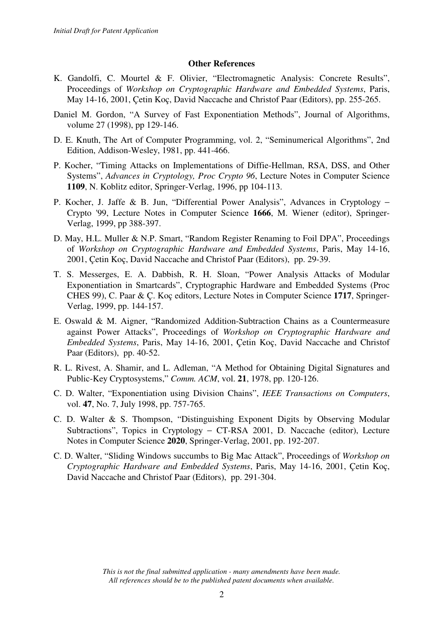# **Other References**

- K. Gandolfi, C. Mourtel & F. Olivier, "Electromagnetic Analysis: Concrete Results", Proceedings of *Workshop on Cryptographic Hardware and Embedded Systems*, Paris, May 14-16, 2001, Çetin Koç, David Naccache and Christof Paar (Editors), pp. 255-265.
- Daniel M. Gordon, "A Survey of Fast Exponentiation Methods", Journal of Algorithms, volume 27 (1998), pp 129-146.
- D. E. Knuth, The Art of Computer Programming, vol. 2, "Seminumerical Algorithms", 2nd Edition, Addison-Wesley, 1981, pp. 441-466.
- P. Kocher, "Timing Attacks on Implementations of Diffie-Hellman, RSA, DSS, and Other Systems", *Advances in Cryptology, Proc Crypto 96*, Lecture Notes in Computer Science **1109**, N. Koblitz editor, Springer-Verlag, 1996, pp 104-113.
- P. Kocher, J. Jaffe & B. Jun, "Differential Power Analysis", Advances in Cryptology − Crypto '99, Lecture Notes in Computer Science **1666**, M. Wiener (editor), Springer-Verlag, 1999, pp 388-397.
- D. May, H.L. Muller & N.P. Smart, "Random Register Renaming to Foil DPA", Proceedings of *Workshop on Cryptographic Hardware and Embedded Systems*, Paris, May 14-16, 2001, Çetin Koç, David Naccache and Christof Paar (Editors), pp. 29-39.
- T. S. Messerges, E. A. Dabbish, R. H. Sloan, "Power Analysis Attacks of Modular Exponentiation in Smartcards", Cryptographic Hardware and Embedded Systems (Proc CHES 99), C. Paar & Ç. Koç editors, Lecture Notes in Computer Science **1717**, Springer-Verlag, 1999, pp. 144-157.
- E. Oswald & M. Aigner, "Randomized Addition-Subtraction Chains as a Countermeasure against Power Attacks", Proceedings of *Workshop on Cryptographic Hardware and Embedded Systems*, Paris, May 14-16, 2001, Çetin Koç, David Naccache and Christof Paar (Editors), pp. 40-52.
- R. L. Rivest, A. Shamir, and L. Adleman, "A Method for Obtaining Digital Signatures and Public-Key Cryptosystems," *Comm. ACM*, vol. **21**, 1978, pp. 120-126.
- C. D. Walter, "Exponentiation using Division Chains", *IEEE Transactions on Computers*, vol. **47**, No. 7, July 1998, pp. 757-765.
- C. D. Walter & S. Thompson, "Distinguishing Exponent Digits by Observing Modular Subtractions", Topics in Cryptology − CT-RSA 2001, D. Naccache (editor), Lecture Notes in Computer Science **2020**, Springer-Verlag, 2001, pp. 192-207.
- C. D. Walter, "Sliding Windows succumbs to Big Mac Attack", Proceedings of *Workshop on Cryptographic Hardware and Embedded Systems*, Paris, May 14-16, 2001, Çetin Koç, David Naccache and Christof Paar (Editors), pp. 291-304.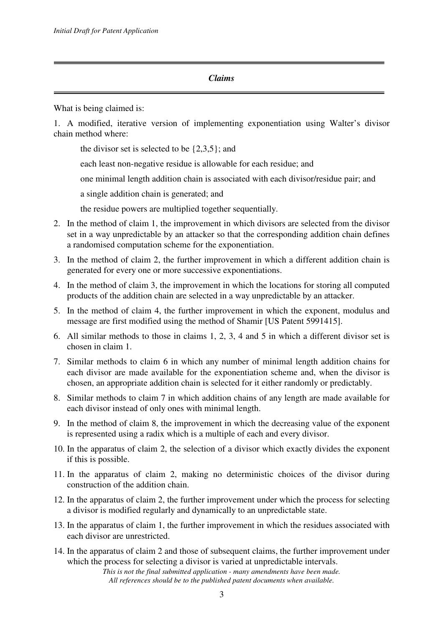# *Claims*

What is being claimed is:

1. A modified, iterative version of implementing exponentiation using Walter's divisor chain method where:

the divisor set is selected to be  $\{2,3,5\}$ ; and

each least non-negative residue is allowable for each residue; and

one minimal length addition chain is associated with each divisor/residue pair; and

a single addition chain is generated; and

the residue powers are multiplied together sequentially.

- 2. In the method of claim 1, the improvement in which divisors are selected from the divisor set in a way unpredictable by an attacker so that the corresponding addition chain defines a randomised computation scheme for the exponentiation.
- 3. In the method of claim 2, the further improvement in which a different addition chain is generated for every one or more successive exponentiations.
- 4. In the method of claim 3, the improvement in which the locations for storing all computed products of the addition chain are selected in a way unpredictable by an attacker.
- 5. In the method of claim 4, the further improvement in which the exponent, modulus and message are first modified using the method of Shamir [US Patent 5991415].
- 6. All similar methods to those in claims 1, 2, 3, 4 and 5 in which a different divisor set is chosen in claim 1.
- 7. Similar methods to claim 6 in which any number of minimal length addition chains for each divisor are made available for the exponentiation scheme and, when the divisor is chosen, an appropriate addition chain is selected for it either randomly or predictably.
- 8. Similar methods to claim 7 in which addition chains of any length are made available for each divisor instead of only ones with minimal length.
- 9. In the method of claim 8, the improvement in which the decreasing value of the exponent is represented using a radix which is a multiple of each and every divisor.
- 10. In the apparatus of claim 2, the selection of a divisor which exactly divides the exponent if this is possible.
- 11. In the apparatus of claim 2, making no deterministic choices of the divisor during construction of the addition chain.
- 12. In the apparatus of claim 2, the further improvement under which the process for selecting a divisor is modified regularly and dynamically to an unpredictable state.
- 13. In the apparatus of claim 1, the further improvement in which the residues associated with each divisor are unrestricted.
- 14. In the apparatus of claim 2 and those of subsequent claims, the further improvement under which the process for selecting a divisor is varied at unpredictable intervals.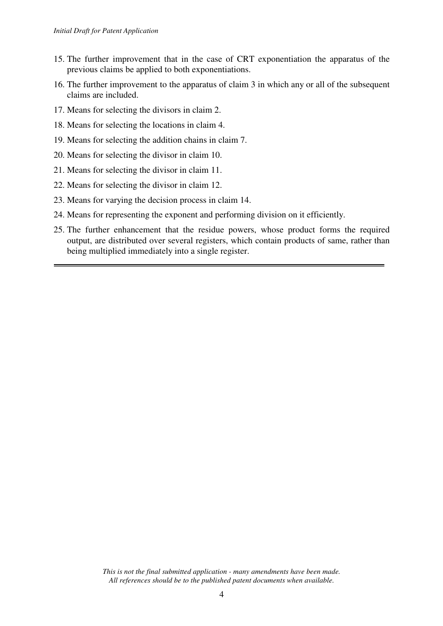- 15. The further improvement that in the case of CRT exponentiation the apparatus of the previous claims be applied to both exponentiations.
- 16. The further improvement to the apparatus of claim 3 in which any or all of the subsequent claims are included.
- 17. Means for selecting the divisors in claim 2.
- 18. Means for selecting the locations in claim 4.
- 19. Means for selecting the addition chains in claim 7.
- 20. Means for selecting the divisor in claim 10.
- 21. Means for selecting the divisor in claim 11.
- 22. Means for selecting the divisor in claim 12.
- 23. Means for varying the decision process in claim 14.
- 24. Means for representing the exponent and performing division on it efficiently.
- 25. The further enhancement that the residue powers, whose product forms the required output, are distributed over several registers, which contain products of same, rather than being multiplied immediately into a single register.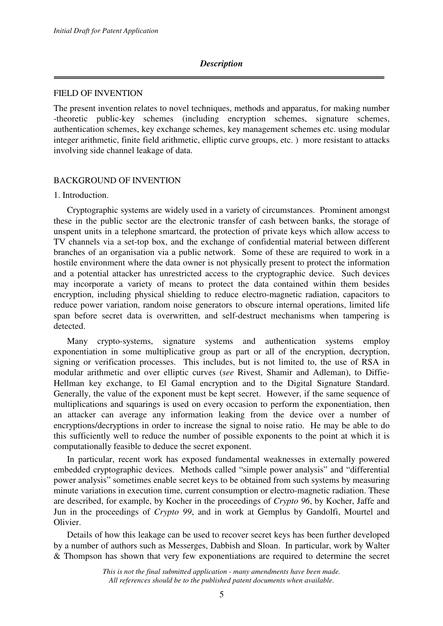### *Description*

### FIELD OF INVENTION

The present invention relates to novel techniques, methods and apparatus, for making number -theoretic public-key schemes (including encryption schemes, signature schemes, authentication schemes, key exchange schemes, key management schemes etc. using modular integer arithmetic, finite field arithmetic, elliptic curve groups, etc. ) more resistant to attacks involving side channel leakage of data.

### BACKGROUND OF INVENTION

### 1. Introduction.

 Cryptographic systems are widely used in a variety of circumstances. Prominent amongst these in the public sector are the electronic transfer of cash between banks, the storage of unspent units in a telephone smartcard, the protection of private keys which allow access to TV channels via a set-top box, and the exchange of confidential material between different branches of an organisation via a public network. Some of these are required to work in a hostile environment where the data owner is not physically present to protect the information and a potential attacker has unrestricted access to the cryptographic device. Such devices may incorporate a variety of means to protect the data contained within them besides encryption, including physical shielding to reduce electro-magnetic radiation, capacitors to reduce power variation, random noise generators to obscure internal operations, limited life span before secret data is overwritten, and self-destruct mechanisms when tampering is detected.

 Many crypto-systems, signature systems and authentication systems employ exponentiation in some multiplicative group as part or all of the encryption, decryption, signing or verification processes. This includes, but is not limited to, the use of RSA in modular arithmetic and over elliptic curves (*see* Rivest, Shamir and Adleman), to Diffie-Hellman key exchange, to El Gamal encryption and to the Digital Signature Standard. Generally, the value of the exponent must be kept secret. However, if the same sequence of multiplications and squarings is used on every occasion to perform the exponentiation, then an attacker can average any information leaking from the device over a number of encryptions/decryptions in order to increase the signal to noise ratio. He may be able to do this sufficiently well to reduce the number of possible exponents to the point at which it is computationally feasible to deduce the secret exponent.

 In particular, recent work has exposed fundamental weaknesses in externally powered embedded cryptographic devices. Methods called "simple power analysis" and "differential power analysis" sometimes enable secret keys to be obtained from such systems by measuring minute variations in execution time, current consumption or electro-magnetic radiation. These are described, for example, by Kocher in the proceedings of *Crypto 96*, by Kocher, Jaffe and Jun in the proceedings of *Crypto 99*, and in work at Gemplus by Gandolfi, Mourtel and Olivier.

 Details of how this leakage can be used to recover secret keys has been further developed by a number of authors such as Messerges, Dabbish and Sloan. In particular, work by Walter & Thompson has shown that very few exponentiations are required to determine the secret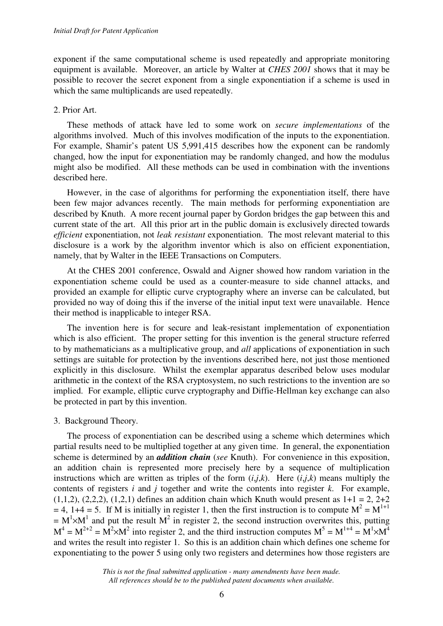exponent if the same computational scheme is used repeatedly and appropriate monitoring equipment is available. Moreover, an article by Walter at *CHES 2001* shows that it may be possible to recover the secret exponent from a single exponentiation if a scheme is used in which the same multiplicands are used repeatedly.

# 2. Prior Art.

 These methods of attack have led to some work on *secure implementations* of the algorithms involved. Much of this involves modification of the inputs to the exponentiation. For example, Shamir's patent US 5,991,415 describes how the exponent can be randomly changed, how the input for exponentiation may be randomly changed, and how the modulus might also be modified. All these methods can be used in combination with the inventions described here.

 However, in the case of algorithms for performing the exponentiation itself, there have been few major advances recently. The main methods for performing exponentiation are described by Knuth. A more recent journal paper by Gordon bridges the gap between this and current state of the art. All this prior art in the public domain is exclusively directed towards *efficient* exponentiation, not *leak resistant* exponentiation. The most relevant material to this disclosure is a work by the algorithm inventor which is also on efficient exponentiation, namely, that by Walter in the IEEE Transactions on Computers.

 At the CHES 2001 conference, Oswald and Aigner showed how random variation in the exponentiation scheme could be used as a counter-measure to side channel attacks, and provided an example for elliptic curve cryptography where an inverse can be calculated, but provided no way of doing this if the inverse of the initial input text were unavailable. Hence their method is inapplicable to integer RSA.

 The invention here is for secure and leak-resistant implementation of exponentiation which is also efficient. The proper setting for this invention is the general structure referred to by mathematicians as a multiplicative group, and *all* applications of exponentiation in such settings are suitable for protection by the inventions described here, not just those mentioned explicitly in this disclosure. Whilst the exemplar apparatus described below uses modular arithmetic in the context of the RSA cryptosystem, no such restrictions to the invention are so implied. For example, elliptic curve cryptography and Diffie-Hellman key exchange can also be protected in part by this invention.

3. Background Theory.

 The process of exponentiation can be described using a scheme which determines which partial results need to be multiplied together at any given time. In general, the exponentiation scheme is determined by an *addition chain* (*see* Knuth). For convenience in this exposition, an addition chain is represented more precisely here by a sequence of multiplication instructions which are written as triples of the form  $(i,j,k)$ . Here  $(i,j,k)$  means multiply the contents of registers *i* and *j* together and write the contents into register *k*. For example,  $(1,1,2)$ ,  $(2,2,2)$ ,  $(1,2,1)$  defines an addition chain which Knuth would present as  $1+1 = 2$ ,  $2+2$  $= 4$ , 1+4 = 5. If M is initially in register 1, then the first instruction is to compute  $M^2 = M^{1+1}$  $= M<sup>1</sup> \times M<sup>1</sup>$  and put the result  $M<sup>2</sup>$  in register 2, the second instruction overwrites this, putting  $M^4 = M^{2+2} = M^2 \times M^2$  into register 2, and the third instruction computes  $M^5 = M^{1+4} = M^1 \times M^4$ and writes the result into register 1. So this is an addition chain which defines one scheme for exponentiating to the power 5 using only two registers and determines how those registers are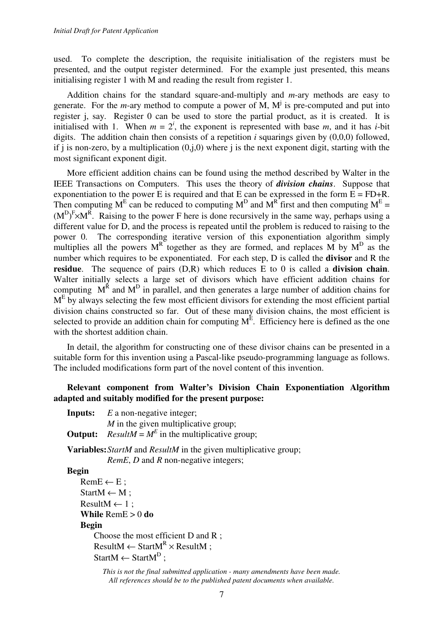used. To complete the description, the requisite initialisation of the registers must be presented, and the output register determined. For the example just presented, this means initialising register 1 with M and reading the result from register 1.

 Addition chains for the standard square-and-multiply and *m*-ary methods are easy to generate. For the *m*-ary method to compute a power of M,  $M^j$  is pre-computed and put into register j, say. Register 0 can be used to store the partial product, as it is created. It is initialised with 1. When  $m = 2^i$ , the exponent is represented with base *m*, and it has *i*-bit digits. The addition chain then consists of a repetition  $i$  squarings given by  $(0.0,0)$  followed, if j is non-zero, by a multiplication  $(0, j, 0)$  where j is the next exponent digit, starting with the most significant exponent digit.

 More efficient addition chains can be found using the method described by Walter in the IEEE Transactions on Computers. This uses the theory of *division chains*. Suppose that exponentiation to the power E is required and that E can be expressed in the form  $E = FD+R$ . Then computing M<sup>E</sup> can be reduced to computing M<sup>D</sup> and M<sup>R</sup> first and then computing M<sup>E</sup> =  $(M^D)^F \times M^R$ . Raising to the power F here is done recursively in the same way, perhaps using a different value for D, and the process is repeated until the problem is reduced to raising to the power 0. The corresponding iterative version of this exponentiation algorithm simply multiplies all the powers  $M<sup>R</sup>$  together as they are formed, and replaces M by  $M<sup>D</sup>$  as the number which requires to be exponentiated. For each step, D is called the **divisor** and R the **residue**. The sequence of pairs (D,R) which reduces E to 0 is called a **division chain**. Walter initially selects a large set of divisors which have efficient addition chains for computing  $M^R$  and  $M^D$  in parallel, and then generates a large number of addition chains for  $M<sup>E</sup>$  by always selecting the few most efficient divisors for extending the most efficient partial division chains constructed so far. Out of these many division chains, the most efficient is selected to provide an addition chain for computing  $M<sup>E</sup>$ . Efficiency here is defined as the one with the shortest addition chain.

 In detail, the algorithm for constructing one of these divisor chains can be presented in a suitable form for this invention using a Pascal-like pseudo-programming language as follows. The included modifications form part of the novel content of this invention.

# **Relevant component from Walter's Division Chain Exponentiation Algorithm adapted and suitably modified for the present purpose:**

| <b>Inputs:</b> $E$ a non-negative integer;                  |
|-------------------------------------------------------------|
| M in the given multiplicative group;                        |
| <b>Output:</b> $ResultM = M^E$ in the multiplicative group; |

**Variables:***StartM* and *ResultM* in the given multiplicative group;

*RemE*, *D* and *R* non-negative integers;

### **Begin**

 $RemE \leftarrow E$ ;  $StartM \leftarrow M$ ;  $ResultM \leftarrow 1$ : **While** RemE > 0 **do Begin** Choose the most efficient D and R ;  $ResultM \leftarrow StartM<sup>R</sup> \times ResultM ;$  $StartM \leftarrow StartM<sup>D</sup>$ ;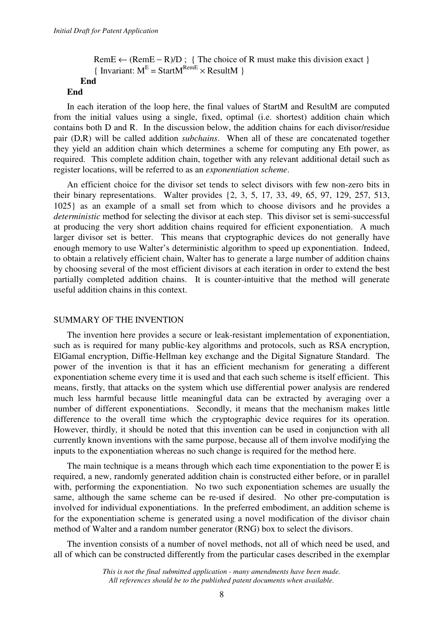```
RemE \leftarrow (RemE – R)/D; { The choice of R must make this division exact }
{Invariant: M<sup>E</sup> = StartM<sup>RemE</sup> \times ResultM }
        End
```
### **End**

 In each iteration of the loop here, the final values of StartM and ResultM are computed from the initial values using a single, fixed, optimal (i.e. shortest) addition chain which contains both D and R. In the discussion below, the addition chains for each divisor/residue pair (D,R) will be called addition *subchains*. When all of these are concatenated together they yield an addition chain which determines a scheme for computing any Eth power, as required. This complete addition chain, together with any relevant additional detail such as register locations, will be referred to as an *exponentiation scheme*.

 An efficient choice for the divisor set tends to select divisors with few non-zero bits in their binary representations. Walter provides {2, 3, 5, 17, 33, 49, 65, 97, 129, 257, 513, 1025} as an example of a small set from which to choose divisors and he provides a *deterministic* method for selecting the divisor at each step. This divisor set is semi-successful at producing the very short addition chains required for efficient exponentiation. A much larger divisor set is better. This means that cryptographic devices do not generally have enough memory to use Walter's deterministic algorithm to speed up exponentiation. Indeed, to obtain a relatively efficient chain, Walter has to generate a large number of addition chains by choosing several of the most efficient divisors at each iteration in order to extend the best partially completed addition chains. It is counter-intuitive that the method will generate useful addition chains in this context.

### SUMMARY OF THE INVENTION

 The invention here provides a secure or leak-resistant implementation of exponentiation, such as is required for many public-key algorithms and protocols, such as RSA encryption, ElGamal encryption, Diffie-Hellman key exchange and the Digital Signature Standard. The power of the invention is that it has an efficient mechanism for generating a different exponentiation scheme every time it is used and that each such scheme is itself efficient. This means, firstly, that attacks on the system which use differential power analysis are rendered much less harmful because little meaningful data can be extracted by averaging over a number of different exponentiations. Secondly, it means that the mechanism makes little difference to the overall time which the cryptographic device requires for its operation. However, thirdly, it should be noted that this invention can be used in conjunction with all currently known inventions with the same purpose, because all of them involve modifying the inputs to the exponentiation whereas no such change is required for the method here.

 The main technique is a means through which each time exponentiation to the power E is required, a new, randomly generated addition chain is constructed either before, or in parallel with, performing the exponentiation. No two such exponentiation schemes are usually the same, although the same scheme can be re-used if desired. No other pre-computation is involved for individual exponentiations. In the preferred embodiment, an addition scheme is for the exponentiation scheme is generated using a novel modification of the divisor chain method of Walter and a random number generator (RNG) box to select the divisors.

 The invention consists of a number of novel methods, not all of which need be used, and all of which can be constructed differently from the particular cases described in the exemplar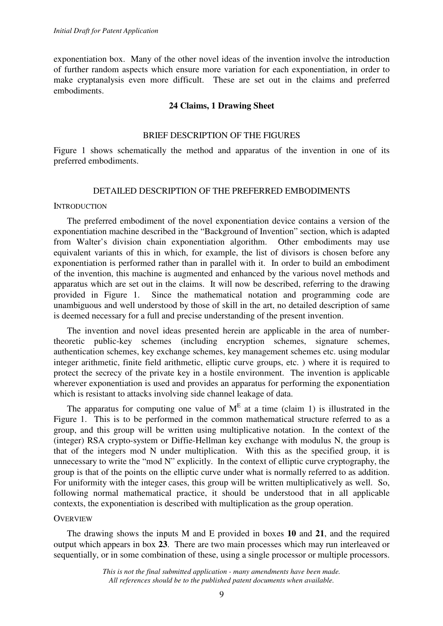exponentiation box. Many of the other novel ideas of the invention involve the introduction of further random aspects which ensure more variation for each exponentiation, in order to make cryptanalysis even more difficult. These are set out in the claims and preferred embodiments.

### **24 Claims, 1 Drawing Sheet**

# BRIEF DESCRIPTION OF THE FIGURES

Figure 1 shows schematically the method and apparatus of the invention in one of its preferred embodiments.

### DETAILED DESCRIPTION OF THE PREFERRED EMBODIMENTS

### **INTRODUCTION**

 The preferred embodiment of the novel exponentiation device contains a version of the exponentiation machine described in the "Background of Invention" section, which is adapted from Walter's division chain exponentiation algorithm. Other embodiments may use equivalent variants of this in which, for example, the list of divisors is chosen before any exponentiation is performed rather than in parallel with it. In order to build an embodiment of the invention, this machine is augmented and enhanced by the various novel methods and apparatus which are set out in the claims. It will now be described, referring to the drawing provided in Figure 1. Since the mathematical notation and programming code are unambiguous and well understood by those of skill in the art, no detailed description of same is deemed necessary for a full and precise understanding of the present invention.

 The invention and novel ideas presented herein are applicable in the area of numbertheoretic public-key schemes (including encryption schemes, signature schemes, authentication schemes, key exchange schemes, key management schemes etc. using modular integer arithmetic, finite field arithmetic, elliptic curve groups, etc. ) where it is required to protect the secrecy of the private key in a hostile environment. The invention is applicable wherever exponentiation is used and provides an apparatus for performing the exponentiation which is resistant to attacks involving side channel leakage of data.

The apparatus for computing one value of  $M<sup>E</sup>$  at a time (claim 1) is illustrated in the Figure 1. This is to be performed in the common mathematical structure referred to as a group, and this group will be written using multiplicative notation. In the context of the (integer) RSA crypto-system or Diffie-Hellman key exchange with modulus N, the group is that of the integers mod N under multiplication. With this as the specified group, it is unnecessary to write the "mod N" explicitly. In the context of elliptic curve cryptography, the group is that of the points on the elliptic curve under what is normally referred to as addition. For uniformity with the integer cases, this group will be written multiplicatively as well. So, following normal mathematical practice, it should be understood that in all applicable contexts, the exponentiation is described with multiplication as the group operation.

### **OVERVIEW**

 The drawing shows the inputs M and E provided in boxes **10** and **21**, and the required output which appears in box **23**. There are two main processes which may run interleaved or sequentially, or in some combination of these, using a single processor or multiple processors.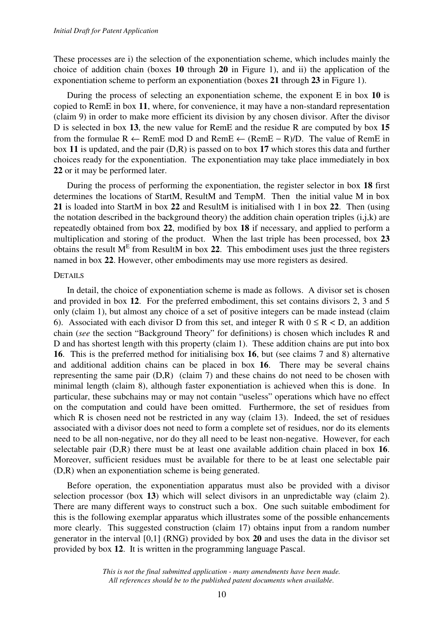These processes are i) the selection of the exponentiation scheme, which includes mainly the choice of addition chain (boxes **10** through **20** in Figure 1), and ii) the application of the exponentiation scheme to perform an exponentiation (boxes **21** through **23** in Figure 1).

 During the process of selecting an exponentiation scheme, the exponent E in box **10** is copied to RemE in box **11**, where, for convenience, it may have a non-standard representation (claim 9) in order to make more efficient its division by any chosen divisor. After the divisor D is selected in box **13**, the new value for RemE and the residue R are computed by box **15** from the formulae  $R \leftarrow$  RemE mod D and RemE  $\leftarrow$  (RemE – R)/D. The value of RemE in box **11** is updated, and the pair (D,R) is passed on to box **17** which stores this data and further choices ready for the exponentiation. The exponentiation may take place immediately in box **22** or it may be performed later.

 During the process of performing the exponentiation, the register selector in box **18** first determines the locations of StartM, ResultM and TempM. Then the initial value M in box **21** is loaded into StartM in box **22** and ResultM is initialised with 1 in box **22**. Then (using the notation described in the background theory) the addition chain operation triples  $(i,j,k)$  are repeatedly obtained from box **22**, modified by box **18** if necessary, and applied to perform a multiplication and storing of the product. When the last triple has been processed, box **23** obtains the result  $M<sup>E</sup>$  from ResultM in box 22. This embodiment uses just the three registers named in box **22**. However, other embodiments may use more registers as desired.

### **DETAILS**

 In detail, the choice of exponentiation scheme is made as follows. A divisor set is chosen and provided in box **12**. For the preferred embodiment, this set contains divisors 2, 3 and 5 only (claim 1), but almost any choice of a set of positive integers can be made instead (claim 6). Associated with each divisor D from this set, and integer R with  $0 \le R < D$ , an addition chain (*see* the section "Background Theory" for definitions) is chosen which includes R and D and has shortest length with this property (claim 1). These addition chains are put into box **16**. This is the preferred method for initialising box **16**, but (see claims 7 and 8) alternative and additional addition chains can be placed in box **16**. There may be several chains representing the same pair (D,R) (claim 7) and these chains do not need to be chosen with minimal length (claim 8), although faster exponentiation is achieved when this is done. In particular, these subchains may or may not contain "useless" operations which have no effect on the computation and could have been omitted. Furthermore, the set of residues from which R is chosen need not be restricted in any way (claim 13). Indeed, the set of residues associated with a divisor does not need to form a complete set of residues, nor do its elements need to be all non-negative, nor do they all need to be least non-negative. However, for each selectable pair (D,R) there must be at least one available addition chain placed in box **16**. Moreover, sufficient residues must be available for there to be at least one selectable pair (D,R) when an exponentiation scheme is being generated.

 Before operation, the exponentiation apparatus must also be provided with a divisor selection processor (box **13**) which will select divisors in an unpredictable way (claim 2). There are many different ways to construct such a box. One such suitable embodiment for this is the following exemplar apparatus which illustrates some of the possible enhancements more clearly. This suggested construction (claim 17) obtains input from a random number generator in the interval [0,1] (RNG) provided by box **20** and uses the data in the divisor set provided by box **12**. It is written in the programming language Pascal.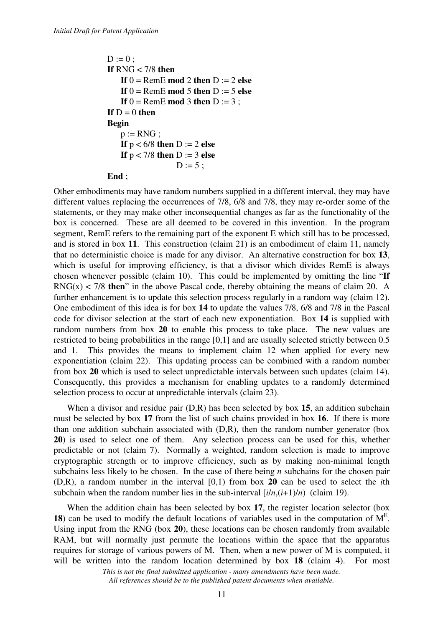```
D := 0 ;
If RNG < 7/8 then 
    If 0 = \text{Rem}E \mod 2 then D := 2 else
    If 0 = \text{Rem}E \mod 5 then D := 5 else
    If 0 = RemE mod 3 then D := 3;
If D = 0 then
Begin 
    p := RNG;
    If p < 6/8 then D := 2 else
    If p < 7/8 then D := 3 else
                   D := 5 ;
End ;
```
Other embodiments may have random numbers supplied in a different interval, they may have different values replacing the occurrences of 7/8, 6/8 and 7/8, they may re-order some of the statements, or they may make other inconsequential changes as far as the functionality of the box is concerned. These are all deemed to be covered in this invention. In the program segment, RemE refers to the remaining part of the exponent E which still has to be processed, and is stored in box **11**. This construction (claim 21) is an embodiment of claim 11, namely that no deterministic choice is made for any divisor. An alternative construction for box **13**, which is useful for improving efficiency, is that a divisor which divides RemE is always chosen whenever possible (claim 10). This could be implemented by omitting the line "**If**  $RNG(x) < 7/8$  then<sup>"</sup> in the above Pascal code, thereby obtaining the means of claim 20. A further enhancement is to update this selection process regularly in a random way (claim 12). One embodiment of this idea is for box **14** to update the values 7/8, 6/8 and 7/8 in the Pascal code for divisor selection at the start of each new exponentiation. Box **14** is supplied with random numbers from box **20** to enable this process to take place. The new values are restricted to being probabilities in the range [0,1] and are usually selected strictly between 0.5 and 1. This provides the means to implement claim 12 when applied for every new exponentiation (claim 22). This updating process can be combined with a random number from box **20** which is used to select unpredictable intervals between such updates (claim 14). Consequently, this provides a mechanism for enabling updates to a randomly determined selection process to occur at unpredictable intervals (claim 23).

When a divisor and residue pair (D,R) has been selected by box 15, an addition subchain must be selected by box **17** from the list of such chains provided in box **16**. If there is more than one addition subchain associated with (D,R), then the random number generator (box **20**) is used to select one of them. Any selection process can be used for this, whether predictable or not (claim 7). Normally a weighted, random selection is made to improve cryptographic strength or to improve efficiency, such as by making non-minimal length subchains less likely to be chosen. In the case of there being *n* subchains for the chosen pair (D,R), a random number in the interval [0,1) from box **20** can be used to select the *i*th subchain when the random number lies in the sub-interval  $[i/n,(i+1)/n]$  (claim 19).

 When the addition chain has been selected by box **17**, the register location selector (box **18**) can be used to modify the default locations of variables used in the computation of  $M<sup>E</sup>$ . Using input from the RNG (box **20**), these locations can be chosen randomly from available RAM, but will normally just permute the locations within the space that the apparatus requires for storage of various powers of M. Then, when a new power of M is computed, it will be written into the random location determined by box **18** (claim 4). For most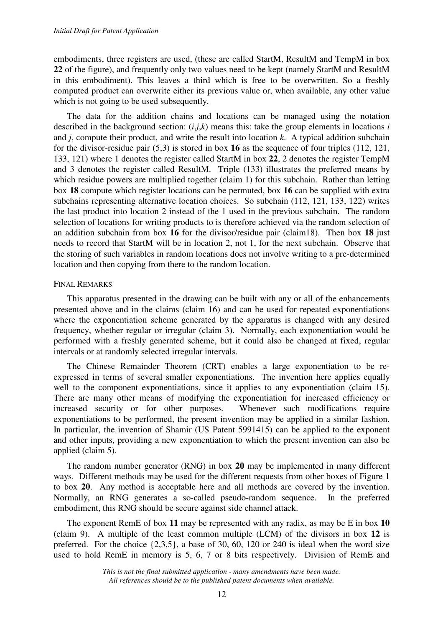embodiments, three registers are used, (these are called StartM, ResultM and TempM in box **22** of the figure), and frequently only two values need to be kept (namely StartM and ResultM in this embodiment). This leaves a third which is free to be overwritten. So a freshly computed product can overwrite either its previous value or, when available, any other value which is not going to be used subsequently.

 The data for the addition chains and locations can be managed using the notation described in the background section:  $(i, j, k)$  means this: take the group elements in locations *i* and *j*, compute their product, and write the result into location *k*. A typical addition subchain for the divisor-residue pair (5,3) is stored in box **16** as the sequence of four triples (112, 121, 133, 121) where 1 denotes the register called StartM in box **22**, 2 denotes the register TempM and 3 denotes the register called ResultM. Triple (133) illustrates the preferred means by which residue powers are multiplied together (claim 1) for this subchain. Rather than letting box **18** compute which register locations can be permuted, box **16** can be supplied with extra subchains representing alternative location choices. So subchain (112, 121, 133, 122) writes the last product into location 2 instead of the 1 used in the previous subchain. The random selection of locations for writing products to is therefore achieved via the random selection of an addition subchain from box **16** for the divisor/residue pair (claim18). Then box **18** just needs to record that StartM will be in location 2, not 1, for the next subchain. Observe that the storing of such variables in random locations does not involve writing to a pre-determined location and then copying from there to the random location.

### FINAL REMARKS

 This apparatus presented in the drawing can be built with any or all of the enhancements presented above and in the claims (claim 16) and can be used for repeated exponentiations where the exponentiation scheme generated by the apparatus is changed with any desired frequency, whether regular or irregular (claim 3). Normally, each exponentiation would be performed with a freshly generated scheme, but it could also be changed at fixed, regular intervals or at randomly selected irregular intervals.

 The Chinese Remainder Theorem (CRT) enables a large exponentiation to be reexpressed in terms of several smaller exponentiations. The invention here applies equally well to the component exponentiations, since it applies to any exponentiation (claim 15). There are many other means of modifying the exponentiation for increased efficiency or increased security or for other purposes. Whenever such modifications require exponentiations to be performed, the present invention may be applied in a similar fashion. In particular, the invention of Shamir (US Patent 5991415) can be applied to the exponent and other inputs, providing a new exponentiation to which the present invention can also be applied (claim 5).

 The random number generator (RNG) in box **20** may be implemented in many different ways. Different methods may be used for the different requests from other boxes of Figure 1 to box **20**. Any method is acceptable here and all methods are covered by the invention. Normally, an RNG generates a so-called pseudo-random sequence. In the preferred embodiment, this RNG should be secure against side channel attack.

 The exponent RemE of box **11** may be represented with any radix, as may be E in box **10** (claim 9). A multiple of the least common multiple (LCM) of the divisors in box **12** is preferred. For the choice  $\{2,3,5\}$ , a base of 30, 60, 120 or 240 is ideal when the word size used to hold RemE in memory is 5, 6, 7 or 8 bits respectively. Division of RemE and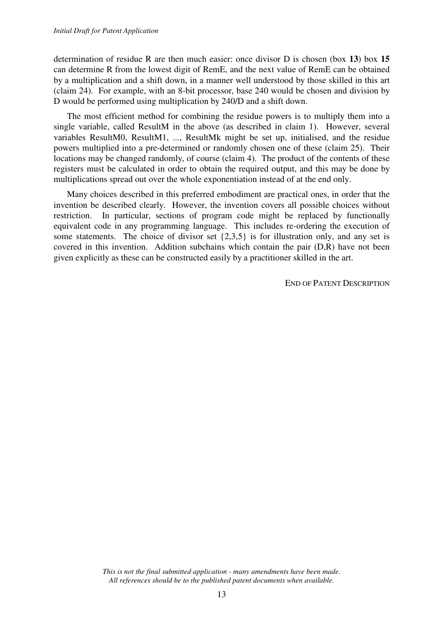determination of residue R are then much easier: once divisor D is chosen (box **13**) box **15** can determine R from the lowest digit of RemE, and the next value of RemE can be obtained by a multiplication and a shift down, in a manner well understood by those skilled in this art (claim 24). For example, with an 8-bit processor, base 240 would be chosen and division by D would be performed using multiplication by 240/D and a shift down.

 The most efficient method for combining the residue powers is to multiply them into a single variable, called ResultM in the above (as described in claim 1). However, several variables ResultM0, ResultM1, ..., ResultMk might be set up, initialised, and the residue powers multiplied into a pre-determined or randomly chosen one of these (claim 25). Their locations may be changed randomly, of course (claim 4). The product of the contents of these registers must be calculated in order to obtain the required output, and this may be done by multiplications spread out over the whole exponentiation instead of at the end only.

 Many choices described in this preferred embodiment are practical ones, in order that the invention be described clearly. However, the invention covers all possible choices without restriction. In particular, sections of program code might be replaced by functionally equivalent code in any programming language. This includes re-ordering the execution of some statements. The choice of divisor set {2,3,5} is for illustration only, and any set is covered in this invention. Addition subchains which contain the pair (D,R) have not been given explicitly as these can be constructed easily by a practitioner skilled in the art.

END OF PATENT DESCRIPTION